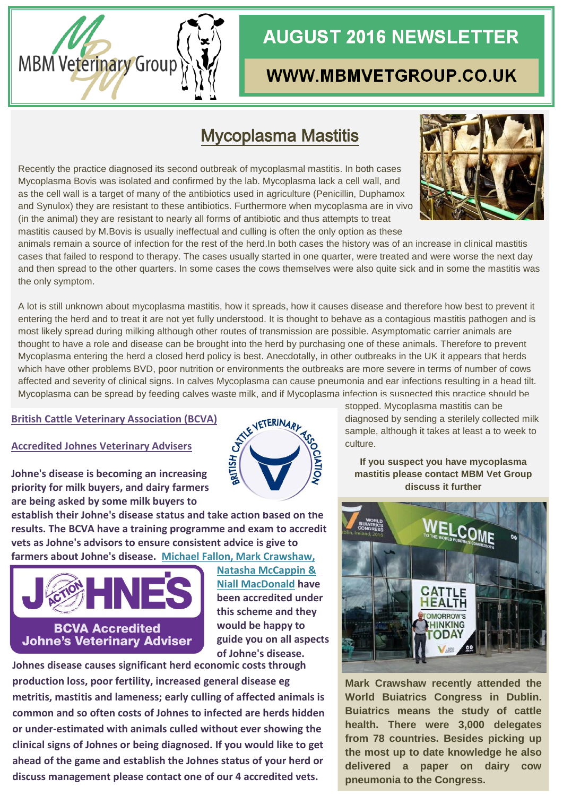# **MBM Veterinary Group**

## **AUGUST 2016 NEWSLETTER**

## **WWW.MBMVETGROUP.CO.UK**

## Mycoplasma Mastitis

Recently the practice diagnosed its second outbreak of mycoplasmal mastitis. In both cases Mycoplasma Bovis was isolated and confirmed by the lab. Mycoplasma lack a cell wall, and as the cell wall is a target of many of the antibiotics used in agriculture (Penicillin, Duphamox and Synulox) they are resistant to these antibiotics. Furthermore when mycoplasma are in vivo (in the animal) they are resistant to nearly all forms of antibiotic and thus attempts to treat mastitis caused by M.Bovis is usually ineffectual and culling is often the only option as these



animals remain a source of infection for the rest of the herd.In both cases the history was of an increase in clinical mastitis cases that failed to respond to therapy. The cases usually started in one quarter, were treated and were worse the next day and then spread to the other quarters. In some cases the cows themselves were also quite sick and in some the mastitis was the only symptom.

A lot is still unknown about mycoplasma mastitis, how it spreads, how it causes disease and therefore how best to prevent it entering the herd and to treat it are not yet fully understood. It is thought to behave as a contagious mastitis pathogen and is most likely spread during milking although other routes of transmission are possible. Asymptomatic carrier animals are thought to have a role and disease can be brought into the herd by purchasing one of these animals. Therefore to prevent Mycoplasma entering the herd a closed herd policy is best. Anecdotally, in other outbreaks in the UK it appears that herds which have other problems BVD, poor nutrition or environments the outbreaks are more severe in terms of number of cows affected and severity of clinical signs. In calves Mycoplasma can cause pneumonia and ear infections resulting in a head tilt.<br>
Mycoplasma can be spread by feeding calves waste milk, and if Mycoplasma infection is suspecte Mycoplasma can be spread by feeding calves waste milk, and if Mycoplasma infection is suspected this practice should be

#### **British Cattle Veterinary Association (BCVA)**

**Accredited Johnes Veterinary Advisers**

**Johne's disease is becoming an increasing priority for milk buyers, and dairy farmers are being asked by some milk buyers to** 

**establish their Johne's disease status and take action based on the results. The BCVA have a training programme and exam to accredit vets as Johne's advisors to ensure consistent advice is give to farmers about Johne's disease. Michael Fallon, Mark Crawshaw,** 



**Natasha McCappin & Niall MacDonald have been accredited under this scheme and they would be happy to guide you on all aspects of Johne's disease.**

**Johnes disease causes significant herd economic costs through production loss, poor fertility, increased general disease eg metritis, mastitis and lameness; early culling of affected animals is common and so often costs of Johnes to infected are herds hidden or under-estimated with animals culled without ever showing the clinical signs of Johnes or being diagnosed. If you would like to get ahead of the game and establish the Johnes status of your herd or discuss management please contact one of our 4 accredited vets.**

stopped. Mycoplasma mastitis can be diagnosed by sending a sterilely collected milk sample, although it takes at least a to week to culture.

**If you suspect you have mycoplasma mastitis please contact MBM Vet Group discuss it further**



**Mark Crawshaw recently attended the World Buiatrics Congress in Dublin. Buiatrics means the study of cattle health. There were 3,000 delegates from 78 countries. Besides picking up the most up to date knowledge he also delivered a paper on dairy cow pneumonia to the Congress.**